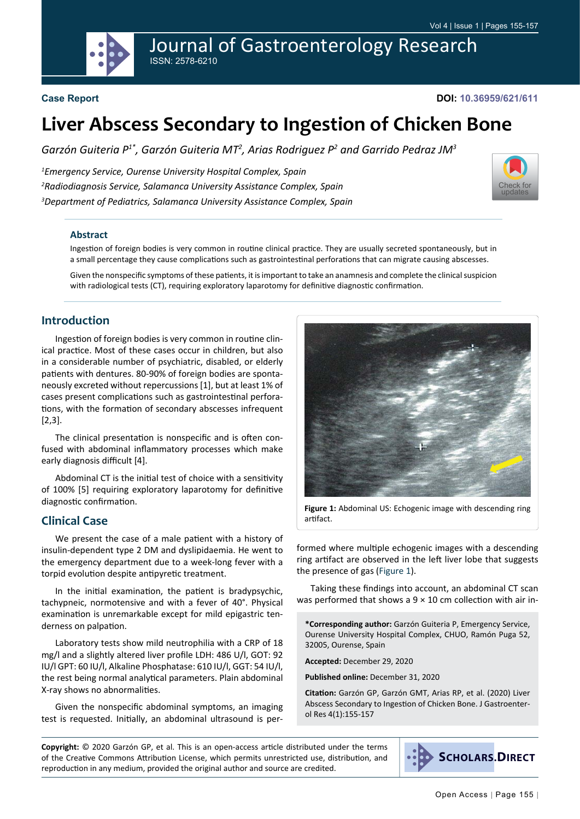Journal of Gastroenterology Research ISSN: 2578-6210



## **Case Report**

**DOI: 10.36959/621/611**

# **Liver Abscess Secondary to Ingestion of Chicken Bone**

*Garzón Guiteria P1\*, Garzón Guiteria MT2 , Arias Rodriguez P2 and Garrido Pedraz JM3*

*1 Emergency Service, Ourense University Hospital Complex, Spain 2 Radiodiagnosis Service, Salamanca University Assistance Complex, Spain 3 Department of Pediatrics, Salamanca University Assistance Complex, Spain*



### **Abstract**

Ingestion of foreign bodies is very common in routine clinical practice. They are usually secreted spontaneously, but in a small percentage they cause complications such as gastrointestinal perforations that can migrate causing abscesses.

Given the nonspecific symptoms of these patients, it is important to take an anamnesis and complete the clinical suspicion with radiological tests (CT), requiring exploratory laparotomy for definitive diagnostic confirmation.

## **Introduction**

Ingestion of foreign bodies is very common in routine clinical practice. Most of these cases occur in children, but also in a considerable number of psychiatric, disabled, or elderly patients with dentures. 80-90% of foreign bodies are spontaneously excreted without repercussions [1], but at least 1% of cases present complications such as gastrointestinal perforations, with the formation of secondary abscesses infrequent [2,3].

The clinical presentation is nonspecific and is often confused with abdominal inflammatory processes which make early diagnosis difficult [4].

Abdominal CT is the initial test of choice with a sensitivity of 100% [5] requiring exploratory laparotomy for definitive diagnostic confirmation.

## **Clinical Case**

We present the case of a male patient with a history of insulin-dependent type 2 DM and dyslipidaemia. He went to the emergency department due to a week-long fever with a torpid evolution despite antipyretic treatment.

In the initial examination, the patient is bradypsychic, tachypneic, normotensive and with a fever of 40°. Physical examination is unremarkable except for mild epigastric tenderness on palpation.

Laboratory tests show mild neutrophilia with a CRP of 18 mg/l and a slightly altered liver profile LDH: 486 U/l, GOT: 92 IU/l GPT: 60 IU/l, Alkaline Phosphatase: 610 IU/l, GGT: 54 IU/l, the rest being normal analytical parameters. Plain abdominal X-ray shows no abnormalities.

Given the nonspecific abdominal symptoms, an imaging test is requested. Initially, an abdominal ultrasound is per-

<span id="page-0-0"></span>

**Figure 1:** Abdominal US: Echogenic image with descending ring artifact.

formed where multiple echogenic images with a descending ring artifact are observed in the left liver lobe that suggests the presence of gas [\(Figure 1\)](#page-0-0).

Taking these findings into account, an abdominal CT scan was performed that shows a  $9 \times 10$  cm collection with air in-

**\*Corresponding author:** Garzón Guiteria P, Emergency Service, Ourense University Hospital Complex, CHUO, Ramón Puga 52, 32005, Ourense, Spain

**Accepted:** December 29, 2020

**Published online:** December 31, 2020

**Citation:** Garzón GP, Garzón GMT, Arias RP, et al. (2020) Liver Abscess Secondary to Ingestion of Chicken Bone. J Gastroenterol Res 4(1):155-157

**Copyright:** © 2020 Garzón GP, et al. This is an open-access article distributed under the terms of the Creative Commons Attribution License, which permits unrestricted use, distribution, and reproduction in any medium, provided the original author and source are credited.

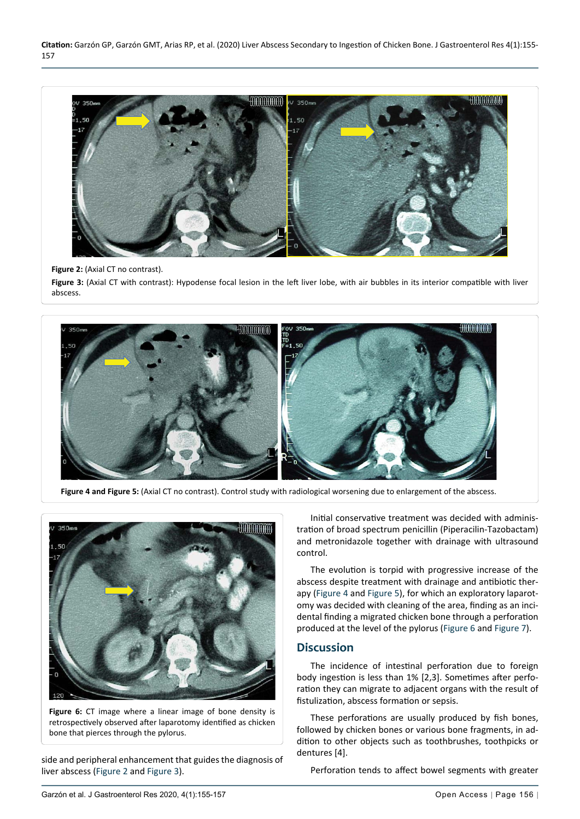**Citation:** Garzón GP, Garzón GMT, Arias RP, et al. (2020) Liver Abscess Secondary to Ingestion of Chicken Bone. J Gastroenterol Res 4(1):155- 157



#### **Figure 2:** (Axial CT no contrast).

<span id="page-1-2"></span>Ĩ

<span id="page-1-0"></span>Ī

Figure 3: (Axial CT with contrast): Hypodense focal lesion in the left liver lobe, with air bubbles in its interior compatible with liver abscess.



**Figure 4 and Figure 5:** (Axial CT no contrast). Control study with radiological worsening due to enlargement of the abscess.

<span id="page-1-1"></span>

**Figure 6:** CT image where a linear image of bone density is retrospectively observed after laparotomy identified as chicken bone that pierces through the pylorus.

side and peripheral enhancement that guides the diagnosis of liver abscess ([Figure 2](#page-1-2) and [Figure 3\)](#page-1-2).

Initial conservative treatment was decided with administration of broad spectrum penicillin (Piperacilin-Tazobactam) and metronidazole together with drainage with ultrasound control.

The evolution is torpid with progressive increase of the abscess despite treatment with drainage and antibiotic therapy ([Figure 4](#page-1-0) and [Figure 5](#page-1-0)), for which an exploratory laparotomy was decided with cleaning of the area, finding as an incidental finding a migrated chicken bone through a perforation produced at the level of the pylorus [\(Figure 6](#page-1-1) and [Figure 7](#page-2-0)).

## **Discussion**

The incidence of intestinal perforation due to foreign body ingestion is less than 1% [2,3]. Sometimes after perforation they can migrate to adjacent organs with the result of fistulization, abscess formation or sepsis.

These perforations are usually produced by fish bones, followed by chicken bones or various bone fragments, in addition to other objects such as toothbrushes, toothpicks or dentures [4].

Perforation tends to affect bowel segments with greater